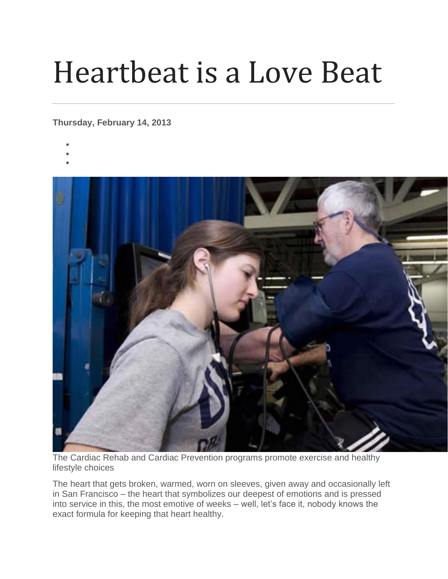## Heartbeat is a Love Beat

## **Thursday, February 14, 2013**

- •
- •



The Cardiac Rehab and Cardiac Prevention programs promote exercise and healthy lifestyle choices

The heart that gets broken, warmed, worn on sleeves, given away and occasionally left in San Francisco – the heart that symbolizes our deepest of emotions and is pressed into service in this, the most emotive of weeks – well, let's face it, nobody knows the exact formula for keeping that heart healthy.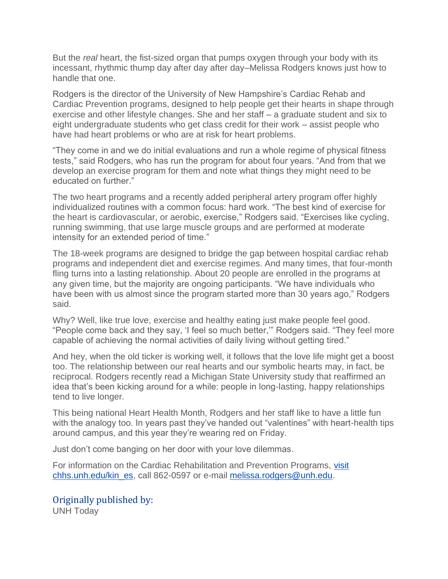But the *real* heart, the fist-sized organ that pumps oxygen through your body with its incessant, rhythmic thump day after day after day–Melissa Rodgers knows just how to handle that one.

Rodgers is the director of the University of New Hampshire's Cardiac Rehab and Cardiac Prevention programs, designed to help people get their hearts in shape through exercise and other lifestyle changes. She and her staff – a graduate student and six to eight undergraduate students who get class credit for their work – assist people who have had heart problems or who are at risk for heart problems.

"They come in and we do initial evaluations and run a whole regime of physical fitness tests," said Rodgers, who has run the program for about four years. "And from that we develop an exercise program for them and note what things they might need to be educated on further."

The two heart programs and a recently added peripheral artery program offer highly individualized routines with a common focus: hard work. "The best kind of exercise for the heart is cardiovascular, or aerobic, exercise," Rodgers said. "Exercises like cycling, running swimming, that use large muscle groups and are performed at moderate intensity for an extended period of time."

The 18-week programs are designed to bridge the gap between hospital cardiac rehab programs and independent diet and exercise regimes. And many times, that four-month fling turns into a lasting relationship. About 20 people are enrolled in the programs at any given time, but the majority are ongoing participants. "We have individuals who have been with us almost since the program started more than 30 years ago," Rodgers said.

Why? Well, like true love, exercise and healthy eating just make people feel good. "People come back and they say, 'I feel so much better,'" Rodgers said. "They feel more capable of achieving the normal activities of daily living without getting tired."

And hey, when the old ticker is working well, it follows that the love life might get a boost too. The relationship between our real hearts and our symbolic hearts may, in fact, be reciprocal. Rodgers recently read a Michigan State University study that reaffirmed an idea that's been kicking around for a while: people in long-lasting, happy relationships tend to live longer.

This being national Heart Health Month, Rodgers and her staff like to have a little fun with the analogy too. In years past they've handed out "valentines" with heart-health tips around campus, and this year they're wearing red on Friday.

Just don't come banging on her door with your love dilemmas.

For information on the Cardiac Rehabilitation and Prevention Programs, [visit](http://www.chhs.unh.edu/kin_es/index)  [chhs.unh.edu/kin\\_es,](http://www.chhs.unh.edu/kin_es/index) call 862-0597 or e-mail [melissa.rodgers@unh.edu.](mailto:melissa.rodgers@unh.edu)

Originally published by: UNH Today